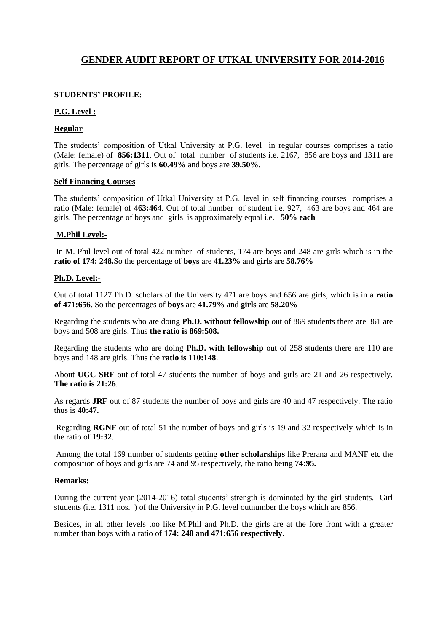# **GENDER AUDIT REPORT OF UTKAL UNIVERSITY FOR 2014-2016**

#### **STUDENTS' PROFILE:**

#### **P.G. Level :**

#### **Regular**

The students' composition of Utkal University at P.G. level in regular courses comprises a ratio (Male: female) of **856:1311**. Out of total number of students i.e. 2167, 856 are boys and 1311 are girls. The percentage of girls is **60.49%** and boys are **39.50%.**

#### **Self Financing Courses**

The students' composition of Utkal University at P.G. level in self financing courses comprises a ratio (Male: female) of **463:464**. Out of total number of student i.e. 927, 463 are boys and 464 are girls. The percentage of boys and girls is approximately equal i.e. **50% each**

#### **M.Phil Level:-**

In M. Phil level out of total 422 number of students, 174 are boys and 248 are girls which is in the **ratio of 174: 248.**So the percentage of **boys** are **41.23%** and **girls** are **58.76%**

#### **Ph.D. Level:-**

Out of total 1127 Ph.D. scholars of the University 471 are boys and 656 are girls, which is in a **ratio of 471:656.** So the percentages of **boys** are **41.79%** and **girls** are **58.20%**

Regarding the students who are doing **Ph.D. without fellowship** out of 869 students there are 361 are boys and 508 are girls. Thus **the ratio is 869:508.**

Regarding the students who are doing **Ph.D. with fellowship** out of 258 students there are 110 are boys and 148 are girls. Thus the **ratio is 110:148**.

About **UGC SRF** out of total 47 students the number of boys and girls are 21 and 26 respectively. **The ratio is 21:26**.

As regards **JRF** out of 87 students the number of boys and girls are 40 and 47 respectively. The ratio thus is **40:47.**

Regarding **RGNF** out of total 51 the number of boys and girls is 19 and 32 respectively which is in the ratio of **19:32**.

Among the total 169 number of students getting **other scholarships** like Prerana and MANF etc the composition of boys and girls are 74 and 95 respectively, the ratio being **74:95.**

#### **Remarks:**

During the current year (2014-2016) total students' strength is dominated by the girl students. Girl students (i.e. 1311 nos. ) of the University in P.G. level outnumber the boys which are 856.

Besides, in all other levels too like M.Phil and Ph.D. the girls are at the fore front with a greater number than boys with a ratio of **174: 248 and 471:656 respectively.**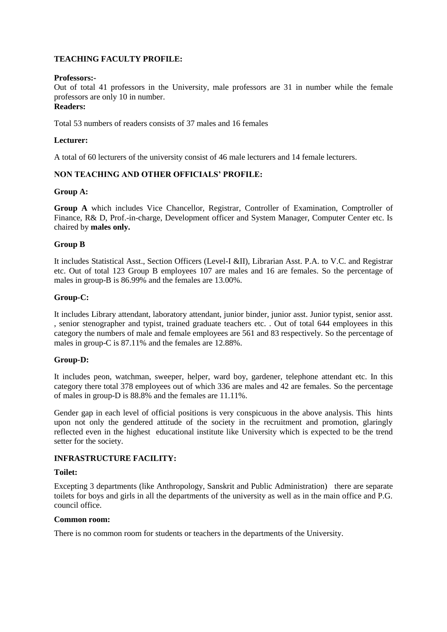#### **TEACHING FACULTY PROFILE:**

#### **Professors:-**

Out of total 41 professors in the University, male professors are 31 in number while the female professors are only 10 in number.

### **Readers:**

Total 53 numbers of readers consists of 37 males and 16 females

#### **Lecturer:**

A total of 60 lecturers of the university consist of 46 male lecturers and 14 female lecturers.

#### **NON TEACHING AND OTHER OFFICIALS' PROFILE:**

#### **Group A:**

**Group A** which includes Vice Chancellor, Registrar, Controller of Examination, Comptroller of Finance, R& D, Prof.-in-charge, Development officer and System Manager, Computer Center etc. Is chaired by **males only.**

#### **Group B**

It includes Statistical Asst., Section Officers (Level-I &II), Librarian Asst. P.A. to V.C. and Registrar etc. Out of total 123 Group B employees 107 are males and 16 are females. So the percentage of males in group-B is 86.99% and the females are 13.00%.

#### **Group-C:**

It includes Library attendant, laboratory attendant, junior binder, junior asst. Junior typist, senior asst. , senior stenographer and typist, trained graduate teachers etc. . Out of total 644 employees in this category the numbers of male and female employees are 561 and 83 respectively. So the percentage of males in group-C is 87.11% and the females are 12.88%.

#### **Group-D:**

It includes peon, watchman, sweeper, helper, ward boy, gardener, telephone attendant etc. In this category there total 378 employees out of which 336 are males and 42 are females. So the percentage of males in group-D is 88.8% and the females are 11.11%.

Gender gap in each level of official positions is very conspicuous in the above analysis. This hints upon not only the gendered attitude of the society in the recruitment and promotion, glaringly reflected even in the highest educational institute like University which is expected to be the trend setter for the society.

#### **INFRASTRUCTURE FACILITY:**

#### **Toilet:**

Excepting 3 departments (like Anthropology, Sanskrit and Public Administration) there are separate toilets for boys and girls in all the departments of the university as well as in the main office and P.G. council office.

#### **Common room:**

There is no common room for students or teachers in the departments of the University.